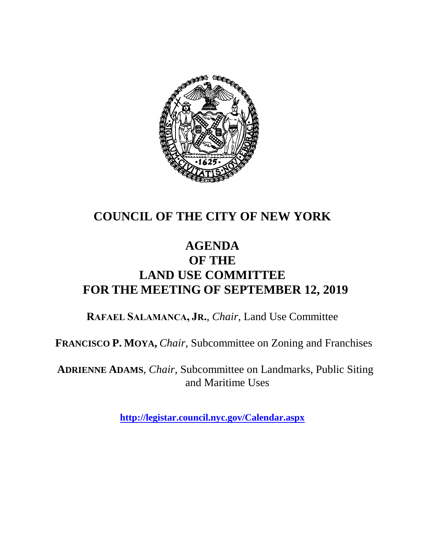

### **COUNCIL OF THE CITY OF NEW YORK**

#### **AGENDA OF THE LAND USE COMMITTEE FOR THE MEETING OF SEPTEMBER 12, 2019**

**RAFAEL SALAMANCA, JR.**, *Chair*, Land Use Committee

**FRANCISCO P. MOYA,** *Chair,* Subcommittee on Zoning and Franchises

**ADRIENNE ADAMS**, *Chair*, Subcommittee on Landmarks, Public Siting and Maritime Uses

**<http://legistar.council.nyc.gov/Calendar.aspx>**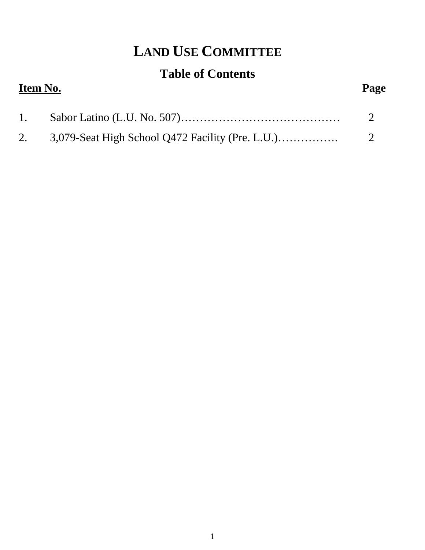# **LAND USE COMMITTEE**

## **Table of Contents**

| Item No. |  | Page |
|----------|--|------|
| 1.       |  |      |
|          |  |      |